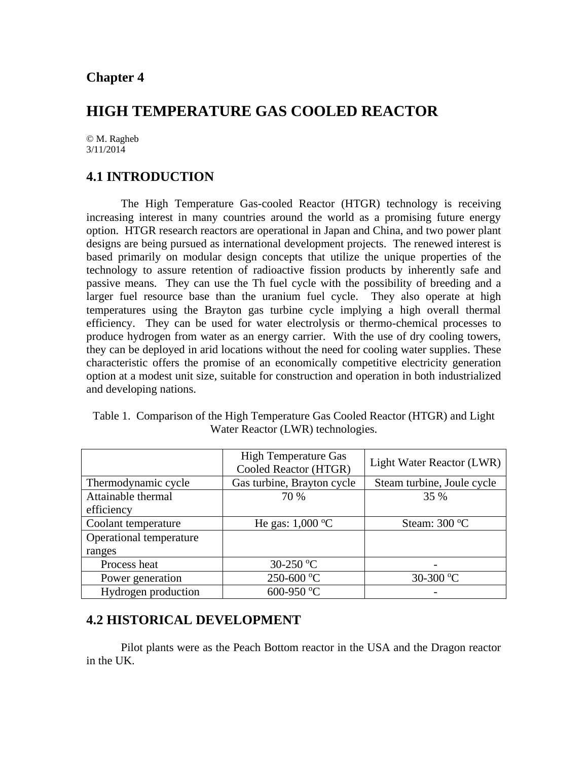# **HIGH TEMPERATURE GAS COOLED REACTOR**

© M. Ragheb 3/11/2014

# **4.1 INTRODUCTION**

 The High Temperature Gas-cooled Reactor (HTGR) technology is receiving increasing interest in many countries around the world as a promising future energy option. HTGR research reactors are operational in Japan and China, and two power plant designs are being pursued as international development projects. The renewed interest is based primarily on modular design concepts that utilize the unique properties of the technology to assure retention of radioactive fission products by inherently safe and passive means. They can use the Th fuel cycle with the possibility of breeding and a larger fuel resource base than the uranium fuel cycle. They also operate at high temperatures using the Brayton gas turbine cycle implying a high overall thermal efficiency. They can be used for water electrolysis or thermo-chemical processes to produce hydrogen from water as an energy carrier. With the use of dry cooling towers, they can be deployed in arid locations without the need for cooling water supplies. These characteristic offers the promise of an economically competitive electricity generation option at a modest unit size, suitable for construction and operation in both industrialized and developing nations.

| Table 1. Comparison of the High Temperature Gas Cooled Reactor (HTGR) and Light |
|---------------------------------------------------------------------------------|
| Water Reactor (LWR) technologies.                                               |

|                         | <b>High Temperature Gas</b><br>Cooled Reactor (HTGR) | Light Water Reactor (LWR)  |  |
|-------------------------|------------------------------------------------------|----------------------------|--|
| Thermodynamic cycle     | Gas turbine, Brayton cycle                           | Steam turbine, Joule cycle |  |
| Attainable thermal      | 70 %                                                 | 35 %                       |  |
| efficiency              |                                                      |                            |  |
| Coolant temperature     | He gas: $1,000 \degree C$                            | Steam: $300^{\circ}$ C     |  |
| Operational temperature |                                                      |                            |  |
| ranges                  |                                                      |                            |  |
| Process heat            | 30-250 °C                                            |                            |  |
| Power generation        | 250-600 °C                                           | 30-300 °C                  |  |
| Hydrogen production     | 600-950 °C                                           |                            |  |

### **4.2 HISTORICAL DEVELOPMENT**

 Pilot plants were as the Peach Bottom reactor in the USA and the Dragon reactor in the UK.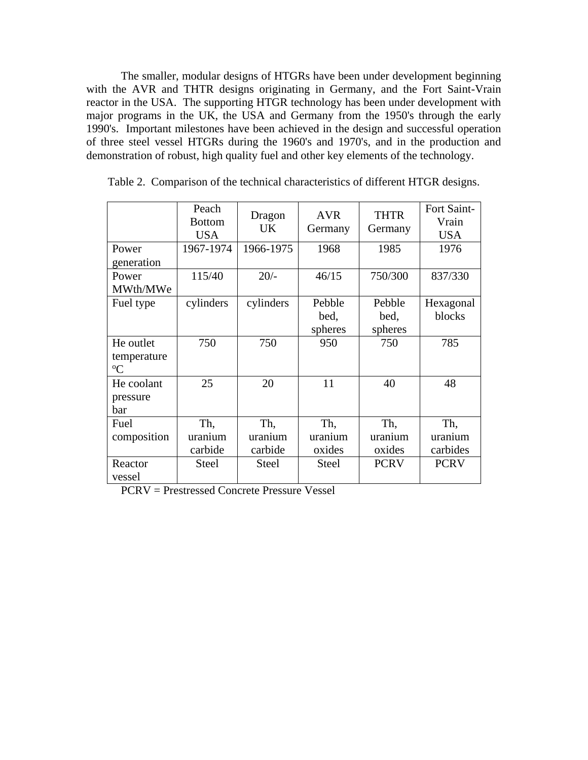The smaller, modular designs of HTGRs have been under development beginning with the AVR and THTR designs originating in Germany, and the Fort Saint-Vrain reactor in the USA. The supporting HTGR technology has been under development with major programs in the UK, the USA and Germany from the 1950's through the early 1990's. Important milestones have been achieved in the design and successful operation of three steel vessel HTGRs during the 1960's and 1970's, and in the production and demonstration of robust, high quality fuel and other key elements of the technology.

|                                         | Peach<br><b>Bottom</b><br><b>USA</b> | Dragon<br><b>UK</b>       | <b>AVR</b><br>Germany     | <b>THTR</b><br>Germany    | Fort Saint-<br>Vrain<br><b>USA</b> |
|-----------------------------------------|--------------------------------------|---------------------------|---------------------------|---------------------------|------------------------------------|
| Power<br>generation                     | 1967-1974                            | 1966-1975                 | 1968                      | 1985                      | 1976                               |
| Power<br>MWth/MWe                       | 115/40                               | $20/-$                    | 46/15                     | 750/300                   | 837/330                            |
| Fuel type                               | cylinders                            | cylinders                 | Pebble<br>bed,<br>spheres | Pebble<br>bed,<br>spheres | Hexagonal<br>blocks                |
| He outlet<br>temperature<br>$\rm ^{o}C$ | 750                                  | 750                       | 950                       | 750                       | 785                                |
| He coolant<br>pressure<br>bar           | 25                                   | 20                        | 11                        | 40                        | 48                                 |
| Fuel<br>composition                     | Th,<br>uranium<br>carbide            | Th,<br>uranium<br>carbide | Th,<br>uranium<br>oxides  | Th,<br>uranium<br>oxides  | Th,<br>uranium<br>carbides         |
| Reactor<br>vessel                       | <b>Steel</b>                         | <b>Steel</b>              | <b>Steel</b>              | <b>PCRV</b>               | <b>PCRV</b>                        |

|  |  |  |  |  |  | Table 2. Comparison of the technical characteristics of different HTGR designs. |
|--|--|--|--|--|--|---------------------------------------------------------------------------------|
|--|--|--|--|--|--|---------------------------------------------------------------------------------|

PCRV = Prestressed Concrete Pressure Vessel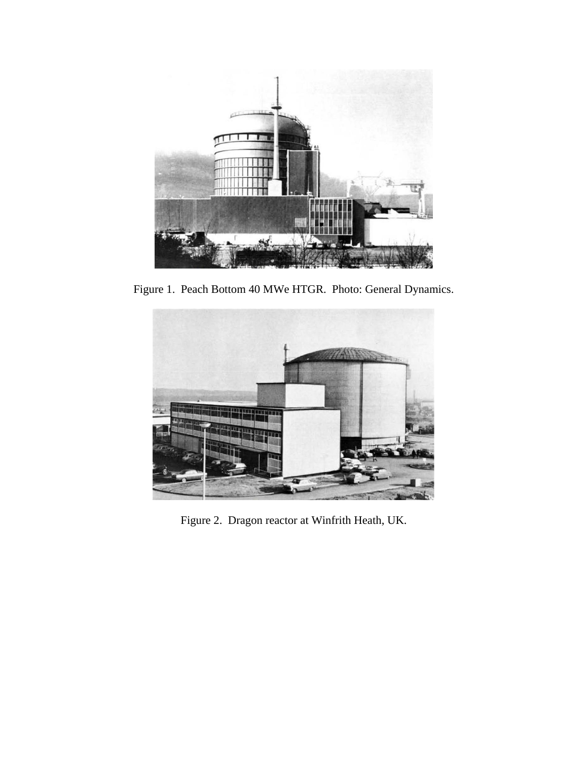

Figure 1. Peach Bottom 40 MWe HTGR. Photo: General Dynamics.



Figure 2. Dragon reactor at Winfrith Heath, UK.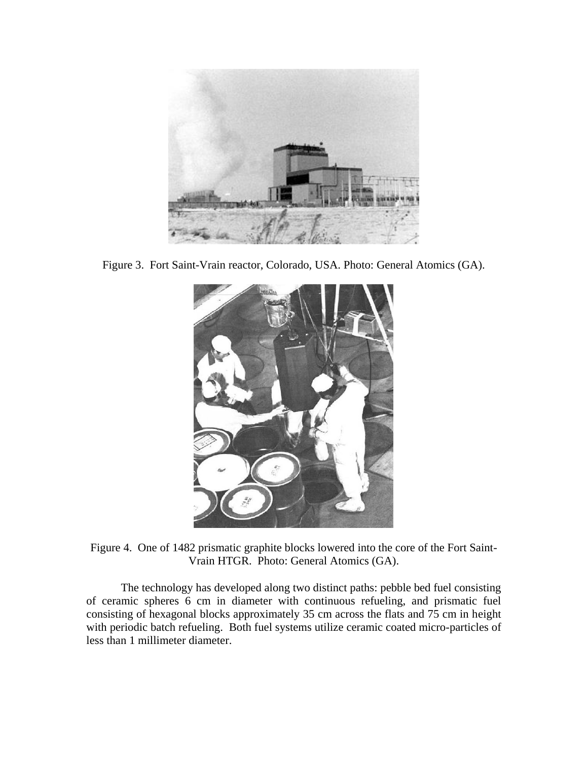

Figure 3. Fort Saint-Vrain reactor, Colorado, USA. Photo: General Atomics (GA).



Figure 4. One of 1482 prismatic graphite blocks lowered into the core of the Fort Saint-Vrain HTGR. Photo: General Atomics (GA).

 The technology has developed along two distinct paths: pebble bed fuel consisting of ceramic spheres 6 cm in diameter with continuous refueling, and prismatic fuel consisting of hexagonal blocks approximately 35 cm across the flats and 75 cm in height with periodic batch refueling. Both fuel systems utilize ceramic coated micro-particles of less than 1 millimeter diameter.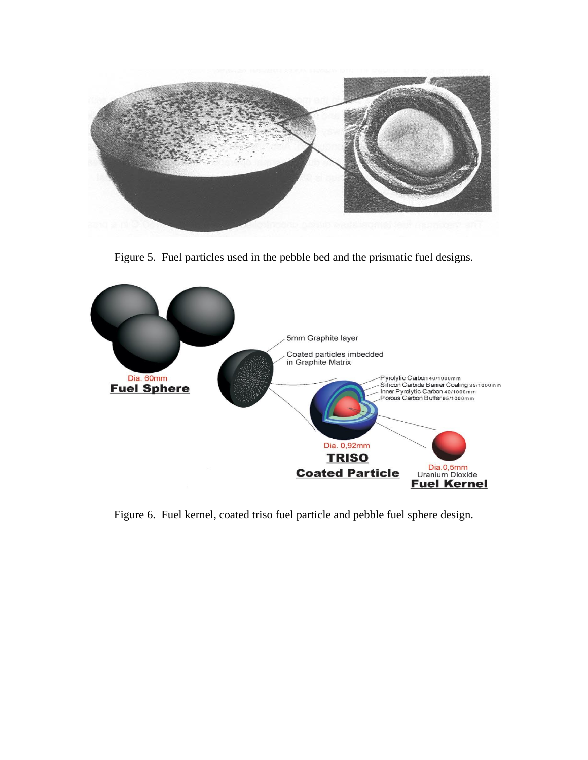

Figure 5. Fuel particles used in the pebble bed and the prismatic fuel designs.



Figure 6. Fuel kernel, coated triso fuel particle and pebble fuel sphere design.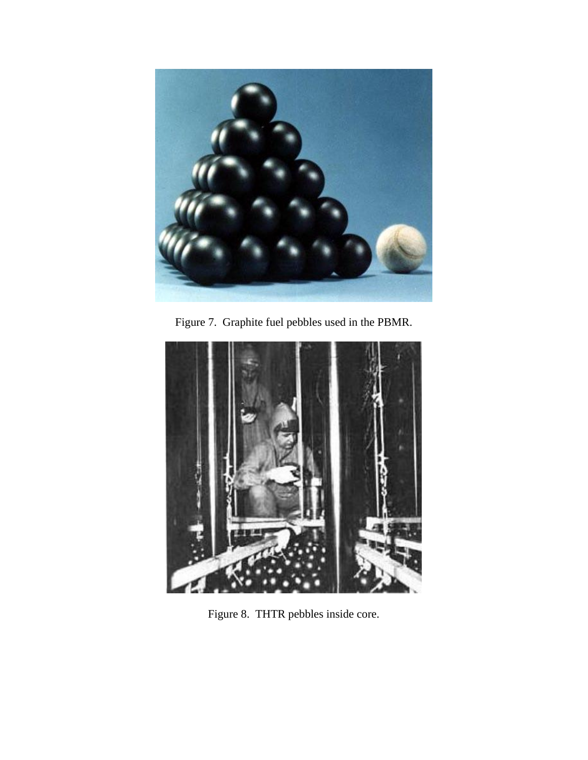

Figure 7. Graphite fuel pebbles used in the PBMR.



Figure 8. THTR pebbles inside core.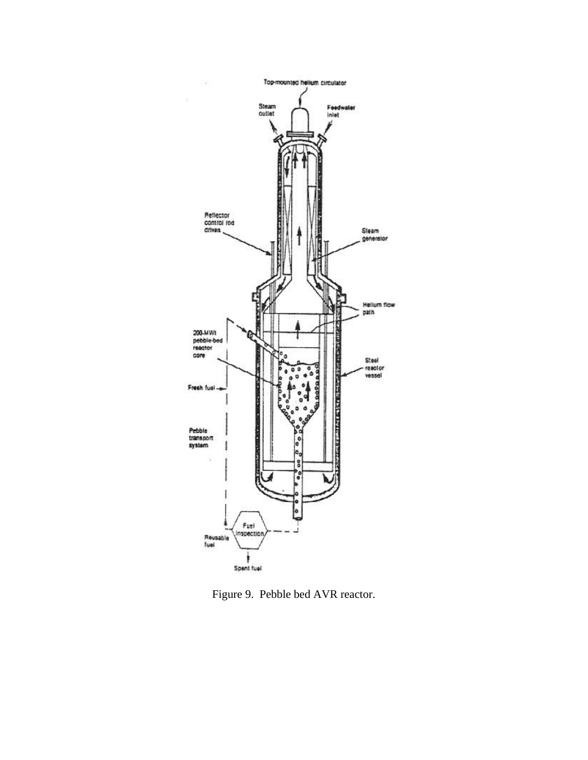

Figure 9. Pebble bed AVR reactor.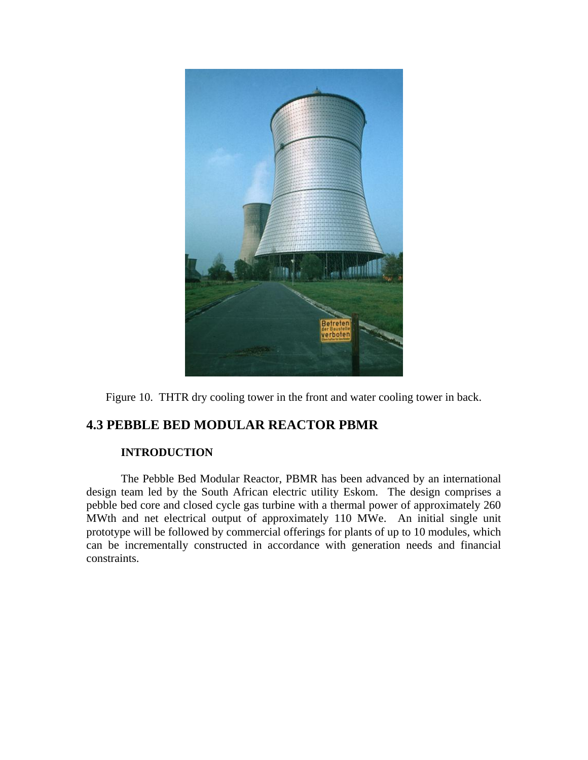

Figure 10. THTR dry cooling tower in the front and water cooling tower in back.

# **4.3 PEBBLE BED MODULAR REACTOR PBMR**

#### **INTRODUCTION**

 The Pebble Bed Modular Reactor, PBMR has been advanced by an international design team led by the South African electric utility Eskom. The design comprises a pebble bed core and closed cycle gas turbine with a thermal power of approximately 260 MWth and net electrical output of approximately 110 MWe. An initial single unit prototype will be followed by commercial offerings for plants of up to 10 modules, which can be incrementally constructed in accordance with generation needs and financial constraints.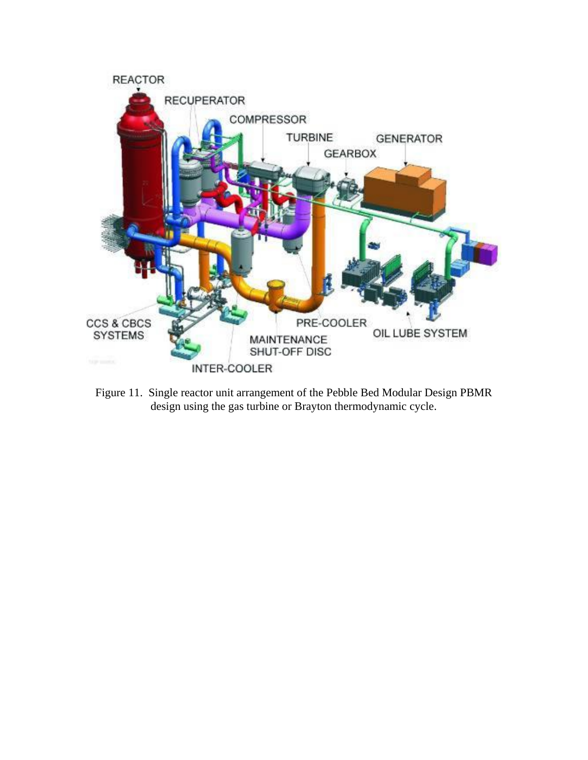

Figure 11. Single reactor unit arrangement of the Pebble Bed Modular Design PBMR design using the gas turbine or Brayton thermodynamic cycle.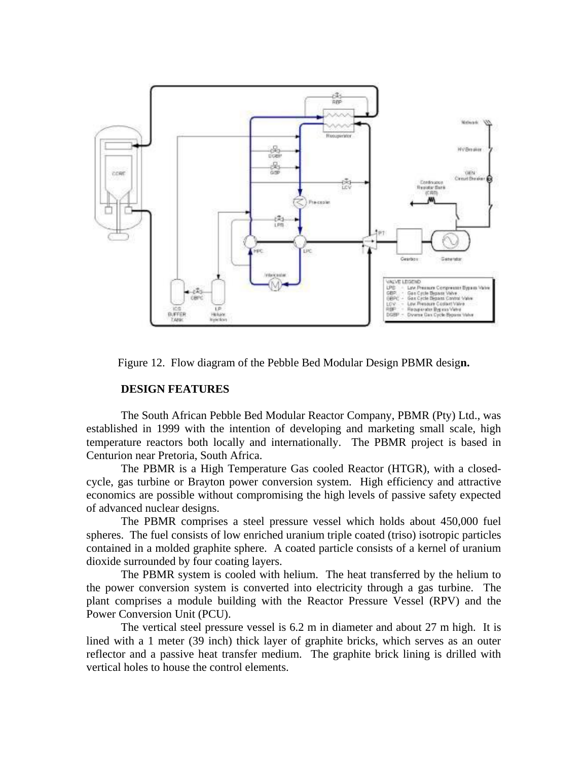

Figure 12. Flow diagram of the Pebble Bed Modular Design PBMR desig**n.**

#### **DESIGN FEATURES**

 The South African Pebble Bed Modular Reactor Company, PBMR (Pty) Ltd., was established in 1999 with the intention of developing and marketing small scale, high temperature reactors both locally and internationally. The PBMR project is based in Centurion near Pretoria, South Africa.

 The PBMR is a High Temperature Gas cooled Reactor (HTGR), with a closedcycle, gas turbine or Brayton power conversion system. High efficiency and attractive economics are possible without compromising the high levels of passive safety expected of advanced nuclear designs.

 The PBMR comprises a steel pressure vessel which holds about 450,000 fuel spheres. The fuel consists of low enriched uranium triple coated (triso) isotropic particles contained in a molded graphite sphere. A coated particle consists of a kernel of uranium dioxide surrounded by four coating layers.

 The PBMR system is cooled with helium. The heat transferred by the helium to the power conversion system is converted into electricity through a gas turbine. The plant comprises a module building with the Reactor Pressure Vessel (RPV) and the Power Conversion Unit (PCU).

 The vertical steel pressure vessel is 6.2 m in diameter and about 27 m high. It is lined with a 1 meter (39 inch) thick layer of graphite bricks, which serves as an outer reflector and a passive heat transfer medium. The graphite brick lining is drilled with vertical holes to house the control elements.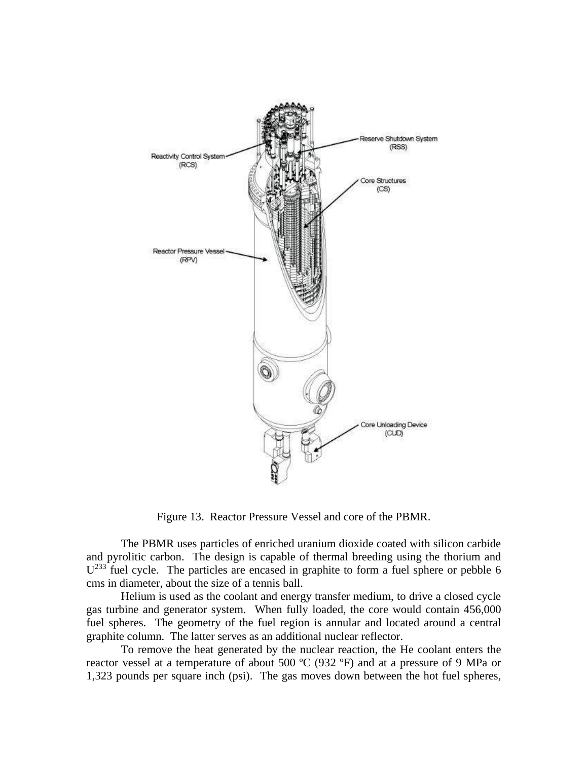

Figure 13. Reactor Pressure Vessel and core of the PBMR.

 The PBMR uses particles of enriched uranium dioxide coated with silicon carbide and pyrolitic carbon. The design is capable of thermal breeding using the thorium and  $U^{233}$  fuel cycle. The particles are encased in graphite to form a fuel sphere or pebble 6 cms in diameter, about the size of a tennis ball.

 Helium is used as the coolant and energy transfer medium, to drive a closed cycle gas turbine and generator system. When fully loaded, the core would contain 456,000 fuel spheres. The geometry of the fuel region is annular and located around a central graphite column. The latter serves as an additional nuclear reflector.

 To remove the heat generated by the nuclear reaction, the He coolant enters the reactor vessel at a temperature of about 500 ºC (932 ºF) and at a pressure of 9 MPa or 1,323 pounds per square inch (psi). The gas moves down between the hot fuel spheres,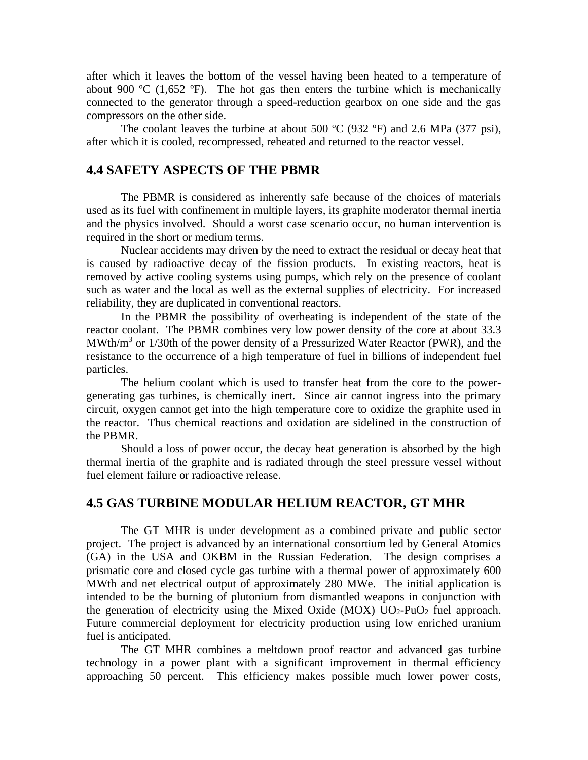after which it leaves the bottom of the vessel having been heated to a temperature of about 900  $\rm{°C}$  (1,652  $\rm{°F}$ ). The hot gas then enters the turbine which is mechanically connected to the generator through a speed-reduction gearbox on one side and the gas compressors on the other side.

The coolant leaves the turbine at about 500  $^{\circ}$ C (932  $^{\circ}$ F) and 2.6 MPa (377 psi), after which it is cooled, recompressed, reheated and returned to the reactor vessel.

### **4.4 SAFETY ASPECTS OF THE PBMR**

 The PBMR is considered as inherently safe because of the choices of materials used as its fuel with confinement in multiple layers, its graphite moderator thermal inertia and the physics involved. Should a worst case scenario occur, no human intervention is required in the short or medium terms.

 Nuclear accidents may driven by the need to extract the residual or decay heat that is caused by radioactive decay of the fission products. In existing reactors, heat is removed by active cooling systems using pumps, which rely on the presence of coolant such as water and the local as well as the external supplies of electricity. For increased reliability, they are duplicated in conventional reactors.

 In the PBMR the possibility of overheating is independent of the state of the reactor coolant. The PBMR combines very low power density of the core at about 33.3 MWth/ $m<sup>3</sup>$  or 1/30th of the power density of a Pressurized Water Reactor (PWR), and the resistance to the occurrence of a high temperature of fuel in billions of independent fuel particles.

 The helium coolant which is used to transfer heat from the core to the powergenerating gas turbines, is chemically inert. Since air cannot ingress into the primary circuit, oxygen cannot get into the high temperature core to oxidize the graphite used in the reactor. Thus chemical reactions and oxidation are sidelined in the construction of the PBMR.

 Should a loss of power occur, the decay heat generation is absorbed by the high thermal inertia of the graphite and is radiated through the steel pressure vessel without fuel element failure or radioactive release.

# **4.5 GAS TURBINE MODULAR HELIUM REACTOR, GT MHR**

 The GT MHR is under development as a combined private and public sector project. The project is advanced by an international consortium led by General Atomics (GA) in the USA and OKBM in the Russian Federation. The design comprises a prismatic core and closed cycle gas turbine with a thermal power of approximately 600 MWth and net electrical output of approximately 280 MWe. The initial application is intended to be the burning of plutonium from dismantled weapons in conjunction with the generation of electricity using the Mixed Oxide (MOX)  $UO_2$ -PuO<sub>2</sub> fuel approach. Future commercial deployment for electricity production using low enriched uranium fuel is anticipated.

 The GT MHR combines a meltdown proof reactor and advanced gas turbine technology in a power plant with a significant improvement in thermal efficiency approaching 50 percent. This efficiency makes possible much lower power costs,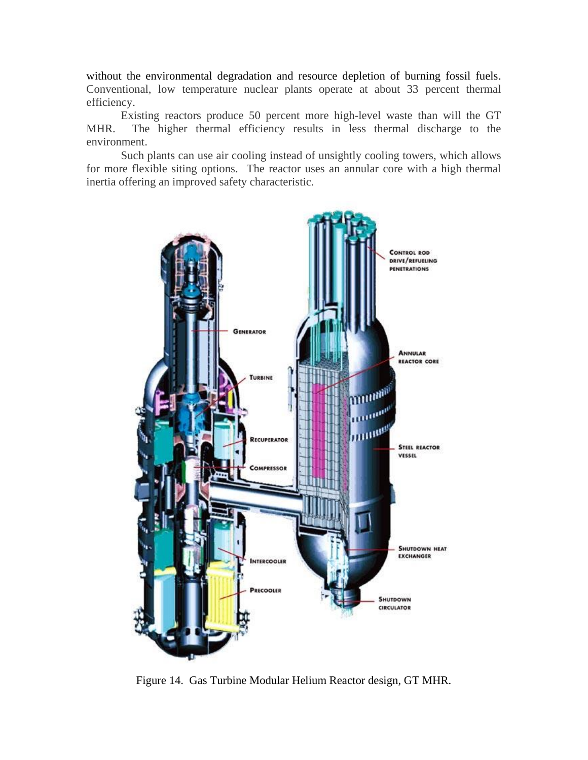without the environmental degradation and resource depletion of burning fossil fuels. Conventional, low temperature nuclear plants operate at about 33 percent thermal efficiency.

 Existing reactors produce 50 percent more high-level waste than will the GT MHR. The higher thermal efficiency results in less thermal discharge to the environment.

Such plants can use air cooling instead of unsightly cooling towers, which allows for more flexible siting options. The reactor uses an annular core with a high thermal inertia offering an improved safety characteristic.



Figure 14. Gas Turbine Modular Helium Reactor design, GT MHR.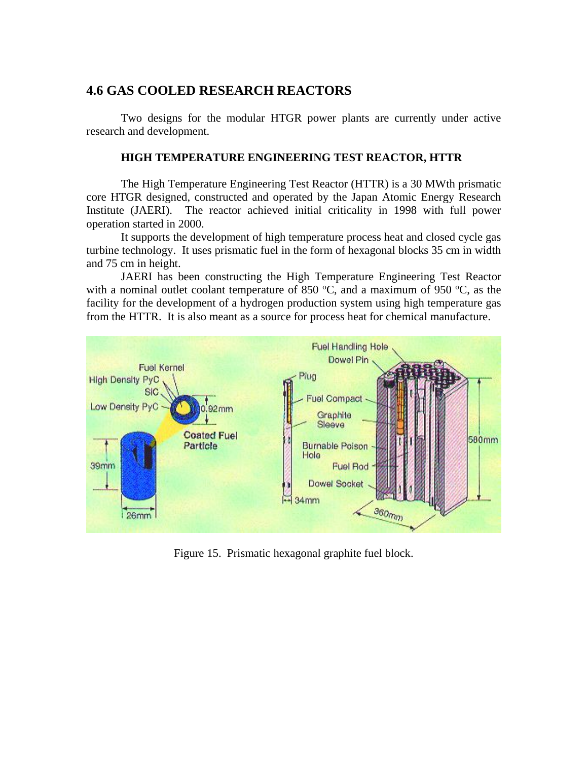# **4.6 GAS COOLED RESEARCH REACTORS**

 Two designs for the modular HTGR power plants are currently under active research and development.

#### **HIGH TEMPERATURE ENGINEERING TEST REACTOR, HTTR**

 The High Temperature Engineering Test Reactor (HTTR) is a 30 MWth prismatic core HTGR designed, constructed and operated by the Japan Atomic Energy Research Institute (JAERI). The reactor achieved initial criticality in 1998 with full power operation started in 2000.

It supports the development of high temperature process heat and closed cycle gas turbine technology. It uses prismatic fuel in the form of hexagonal blocks 35 cm in width and 75 cm in height.

 JAERI has been constructing the High Temperature Engineering Test Reactor with a nominal outlet coolant temperature of 850  $\degree$ C, and a maximum of 950  $\degree$ C, as the facility for the development of a hydrogen production system using high temperature gas from the HTTR. It is also meant as a source for process heat for chemical manufacture.



Figure 15. Prismatic hexagonal graphite fuel block.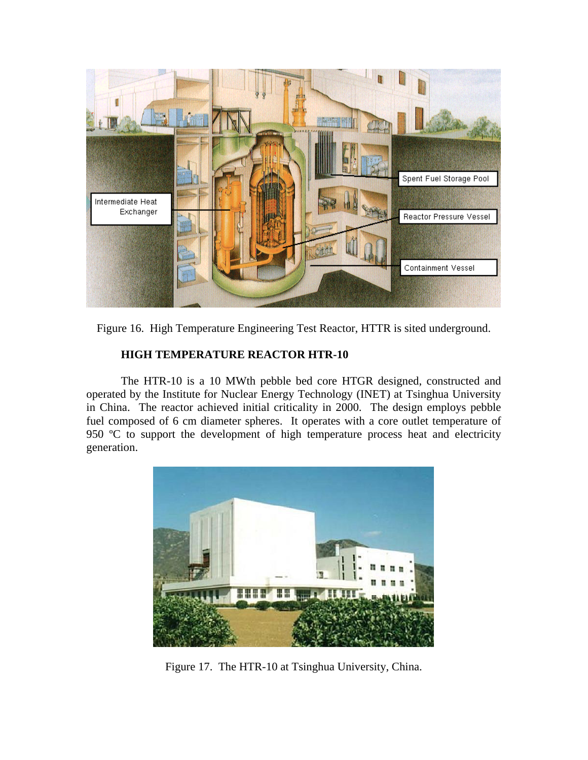

Figure 16. High Temperature Engineering Test Reactor, HTTR is sited underground.

### **HIGH TEMPERATURE REACTOR HTR-10**

 The HTR-10 is a 10 MWth pebble bed core HTGR designed, constructed and operated by the Institute for Nuclear Energy Technology (INET) at Tsinghua University in China. The reactor achieved initial criticality in 2000. The design employs pebble fuel composed of 6 cm diameter spheres. It operates with a core outlet temperature of 950 °C to support the development of high temperature process heat and electricity generation.



Figure 17. The HTR-10 at Tsinghua University, China.